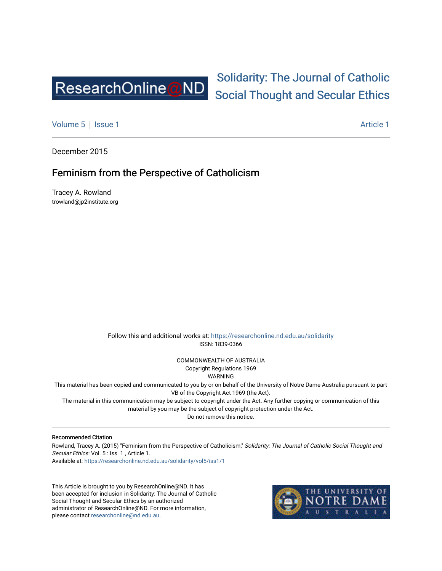

# [Solidarity: The Journal of Catholic](https://researchonline.nd.edu.au/solidarity)  [Social Thought and Secular Ethics](https://researchonline.nd.edu.au/solidarity)

[Volume 5](https://researchonline.nd.edu.au/solidarity/vol5) | [Issue 1](https://researchonline.nd.edu.au/solidarity/vol5/iss1) Article 1

December 2015

## Feminism from the Perspective of Catholicism

Tracey A. Rowland trowland@jp2institute.org

> Follow this and additional works at: [https://researchonline.nd.edu.au/solidarity](https://researchonline.nd.edu.au/solidarity?utm_source=researchonline.nd.edu.au%2Fsolidarity%2Fvol5%2Fiss1%2F1&utm_medium=PDF&utm_campaign=PDFCoverPages)  ISSN: 1839-0366

> > COMMONWEALTH OF AUSTRALIA Copyright Regulations 1969

WARNING

This material has been copied and communicated to you by or on behalf of the University of Notre Dame Australia pursuant to part VB of the Copyright Act 1969 (the Act).

The material in this communication may be subject to copyright under the Act. Any further copying or communication of this material by you may be the subject of copyright protection under the Act.

Do not remove this notice.

#### Recommended Citation

Rowland, Tracey A. (2015) "Feminism from the Perspective of Catholicism," Solidarity: The Journal of Catholic Social Thought and Secular Ethics: Vol. 5 : Iss. 1, Article 1. Available at: [https://researchonline.nd.edu.au/solidarity/vol5/iss1/1](https://researchonline.nd.edu.au/solidarity/vol5/iss1/1?utm_source=researchonline.nd.edu.au%2Fsolidarity%2Fvol5%2Fiss1%2F1&utm_medium=PDF&utm_campaign=PDFCoverPages) 

This Article is brought to you by ResearchOnline@ND. It has been accepted for inclusion in Solidarity: The Journal of Catholic Social Thought and Secular Ethics by an authorized administrator of ResearchOnline@ND. For more information, please contact [researchonline@nd.edu.au.](mailto:researchonline@nd.edu.au)

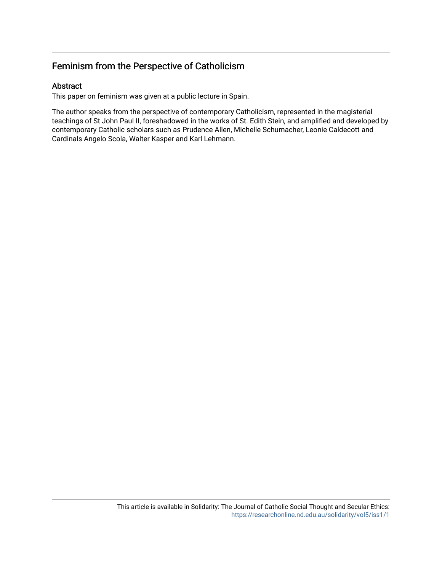## Feminism from the Perspective of Catholicism

### Abstract

This paper on feminism was given at a public lecture in Spain.

The author speaks from the perspective of contemporary Catholicism, represented in the magisterial teachings of St John Paul II, foreshadowed in the works of St. Edith Stein, and amplified and developed by contemporary Catholic scholars such as Prudence Allen, Michelle Schumacher, Leonie Caldecott and Cardinals Angelo Scola, Walter Kasper and Karl Lehmann.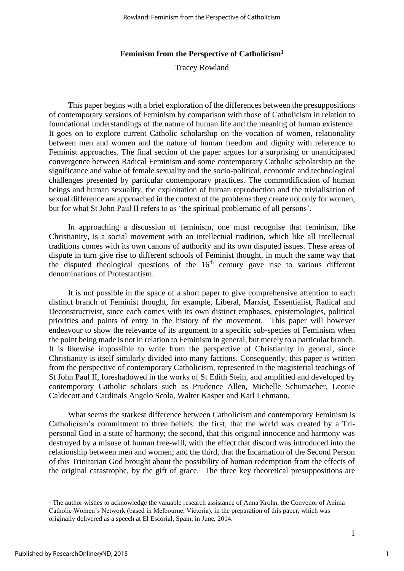#### **Feminism from the Perspective of Catholicism<sup>1</sup>**

Tracey Rowland

This paper begins with a brief exploration of the differences between the presuppositions of contemporary versions of Feminism by comparison with those of Catholicism in relation to foundational understandings of the nature of human life and the meaning of human existence. It goes on to explore current Catholic scholarship on the vocation of women, relationality between men and women and the nature of human freedom and dignity with reference to Feminist approaches. The final section of the paper argues for a surprising or unanticipated convergence between Radical Feminism and some contemporary Catholic scholarship on the significance and value of female sexuality and the socio-political, economic and technological challenges presented by particular contemporary practices. The commodification of human beings and human sexuality, the exploitation of human reproduction and the trivialisation of sexual difference are approached in the context of the problems they create not only for women, but for what St John Paul II refers to as 'the spiritual problematic of all persons'.

In approaching a discussion of feminism, one must recognise that feminism, like Christianity, is a social movement with an intellectual tradition, which like all intellectual traditions comes with its own canons of authority and its own disputed issues. These areas of dispute in turn give rise to different schools of Feminist thought, in much the same way that the disputed theological questions of the  $16<sup>th</sup>$  century gave rise to various different denominations of Protestantism.

It is not possible in the space of a short paper to give comprehensive attention to each distinct branch of Feminist thought, for example, Liberal, Marxist, Essentialist, Radical and Deconstructivist, since each comes with its own distinct emphases, epistemologies, political priorities and points of entry in the history of the movement. This paper will however endeavour to show the relevance of its argument to a specific sub-species of Feminism when the point being made is not in relation to Feminism in general, but merely to a particular branch. It is likewise impossible to write from the perspective of Christianity in general, since Christianity is itself similarly divided into many factions. Consequently, this paper is written from the perspective of contemporary Catholicism, represented in the magisterial teachings of St John Paul II, foreshadowed in the works of St Edith Stein, and amplified and developed by contemporary Catholic scholars such as Prudence Allen, Michelle Schumacher, Leonie Caldecott and Cardinals Angelo Scola, Walter Kasper and Karl Lehmann.

What seems the starkest difference between Catholicism and contemporary Feminism is Catholicism's commitment to three beliefs: the first, that the world was created by a Tripersonal God in a state of harmony; the second, that this original innocence and harmony was destroyed by a misuse of human free-will, with the effect that discord was introduced into the relationship between men and women; and the third, that the Incarnation of the Second Person of this Trinitarian God brought about the possibility of human redemption from the effects of the original catastrophe, by the gift of grace. The three key theoretical presuppositions are

 $1$  The author wishes to acknowledge the valuable research assistance of Anna Krohn, the Convenor of Anima Catholic Women's Network (based in Melbourne, Victoria), in the preparation of this paper, which was originally delivered as a speech at El Escorial, Spain, in June, 2014.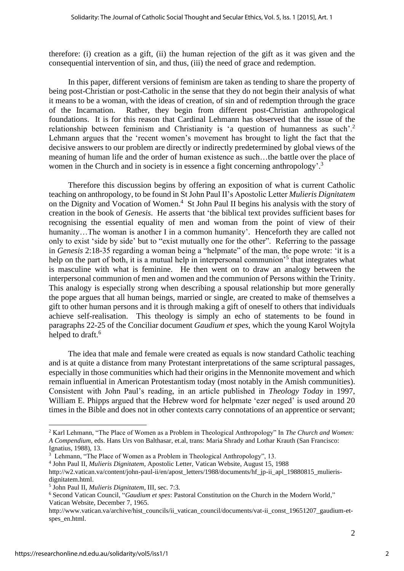therefore: (i) creation as a gift, (ii) the human rejection of the gift as it was given and the consequential intervention of sin, and thus, (iii) the need of grace and redemption.

In this paper, different versions of feminism are taken as tending to share the property of being post-Christian or post-Catholic in the sense that they do not begin their analysis of what it means to be a woman, with the ideas of creation, of sin and of redemption through the grace of the Incarnation. Rather, they begin from different post-Christian anthropological foundations. It is for this reason that Cardinal Lehmann has observed that the issue of the relationship between feminism and Christianity is 'a question of humanness as such'.<sup>2</sup> Lehmann argues that the 'recent women's movement has brought to light the fact that the decisive answers to our problem are directly or indirectly predetermined by global views of the meaning of human life and the order of human existence as such…the battle over the place of women in the Church and in society is in essence a fight concerning anthropology'.<sup>3</sup>

Therefore this discussion begins by offering an exposition of what is current Catholic teaching on anthropology, to be found in St John Paul II's Apostolic Letter *Mulieris Dignitatem* on the Dignity and Vocation of Women.<sup>4</sup> St John Paul II begins his analysis with the story of creation in the book of *Genesis*. He asserts that 'the biblical text provides sufficient bases for recognising the essential equality of men and woman from the point of view of their humanity...The woman is another I in a common humanity'. Henceforth they are called not only to exist 'side by side' but to "exist mutually one for the other". Referring to the passage in *Genesis* 2:18-35 regarding a woman being a "helpmate" of the man, the pope wrote: 'it is a help on the part of both, it is a mutual help in interpersonal communion<sup>5</sup> that integrates what is masculine with what is feminine. He then went on to draw an analogy between the interpersonal communion of men and women and the communion of Persons within the Trinity. This analogy is especially strong when describing a spousal relationship but more generally the pope argues that all human beings, married or single, are created to make of themselves a gift to other human persons and it is through making a gift of oneself to others that individuals achieve self-realisation. This theology is simply an echo of statements to be found in paragraphs 22-25 of the Conciliar document *Gaudium et spes*, which the young Karol Wojtyla helped to draft.<sup>6</sup>

The idea that male and female were created as equals is now standard Catholic teaching and is at quite a distance from many Protestant interpretations of the same scriptural passages, especially in those communities which had their origins in the Mennonite movement and which remain influential in American Protestantism today (most notably in the Amish communities). Consistent with John Paul's reading, in an article published in *Theology Today* in 1997, William E. Phipps argued that the Hebrew word for helpmate 'ezer neged' is used around 20 times in the Bible and does not in other contexts carry connotations of an apprentice or servant;

<sup>2</sup> Karl Lehmann, "The Place of Women as a Problem in Theological Anthropology" In *The Church and Women: A Compendium*, eds. Hans Urs von Balthasar, et.al, trans: Maria Shrady and Lothar Krauth (San Francisco: Ignatius, 1988), 13.

<sup>&</sup>lt;sup>3</sup> Lehmann, "The Place of Women as a Problem in Theological Anthropology", 13.

<sup>4</sup> John Paul II, *Mulieris Dignitatem*, Apostolic Letter, Vatican Website, August 15, 1988 [http://w2.vatican.va/content/john-paul-ii/en/apost\\_letters/1988/documents/hf\\_jp-ii\\_apl\\_19880815\\_mulieris](http://w2.vatican.va/content/john-paul-ii/en/apost_letters/1988/documents/hf_jp-ii_apl_19880815_mulieris-dignitatem.html)[dignitatem.html.](http://w2.vatican.va/content/john-paul-ii/en/apost_letters/1988/documents/hf_jp-ii_apl_19880815_mulieris-dignitatem.html)

<sup>5</sup> John Paul II, *Mulieris Dignitatem*, III, sec. 7:3.

<sup>6</sup> Second Vatican Council, "*Gaudium et spes*: Pastoral Constitution on the Church in the Modern World," Vatican Website, December 7, 1965.

[http://www.vatican.va/archive/hist\\_councils/ii\\_vatican\\_council/documents/vat-ii\\_const\\_19651207\\_gaudium-et](http://www.vatican.va/archive/hist_councils/ii_vatican_council/documents/vat-ii_const_19651207_gaudium-et-spes_en.html)[spes\\_en.html.](http://www.vatican.va/archive/hist_councils/ii_vatican_council/documents/vat-ii_const_19651207_gaudium-et-spes_en.html)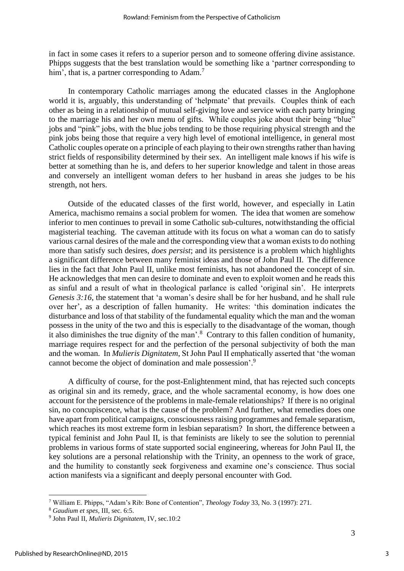in fact in some cases it refers to a superior person and to someone offering divine assistance. Phipps suggests that the best translation would be something like a 'partner corresponding to him', that is, a partner corresponding to  $Adam^7$ .

In contemporary Catholic marriages among the educated classes in the Anglophone world it is, arguably, this understanding of 'helpmate' that prevails. Couples think of each other as being in a relationship of mutual self-giving love and service with each party bringing to the marriage his and her own menu of gifts. While couples joke about their being "blue" jobs and "pink" jobs, with the blue jobs tending to be those requiring physical strength and the pink jobs being those that require a very high level of emotional intelligence, in general most Catholic couples operate on a principle of each playing to their own strengths rather than having strict fields of responsibility determined by their sex. An intelligent male knows if his wife is better at something than he is, and defers to her superior knowledge and talent in those areas and conversely an intelligent woman defers to her husband in areas she judges to be his strength, not hers.

Outside of the educated classes of the first world, however, and especially in Latin America, machismo remains a social problem for women. The idea that women are somehow inferior to men continues to prevail in some Catholic sub-cultures, notwithstanding the official magisterial teaching. The caveman attitude with its focus on what a woman can do to satisfy various carnal desires of the male and the corresponding view that a woman exists to do nothing more than satisfy such desires, *does persist*; and its persistence is a problem which highlights a significant difference between many feminist ideas and those of John Paul II. The difference lies in the fact that John Paul II, unlike most feminists, has not abandoned the concept of sin. He acknowledges that men can desire to dominate and even to exploit women and he reads this as sinful and a result of what in theological parlance is called 'original sin'. He interprets *Genesis 3:16*, the statement that 'a woman's desire shall be for her husband, and he shall rule over her', as a description of fallen humanity. He writes: 'this domination indicates the disturbance and loss of that stability of the fundamental equality which the man and the woman possess in the unity of the two and this is especially to the disadvantage of the woman, though it also diminishes the true dignity of the man'.<sup>8</sup> Contrary to this fallen condition of humanity, marriage requires respect for and the perfection of the personal subjectivity of both the man and the woman. In *Mulieris Dignitatem*, St John Paul II emphatically asserted that 'the woman cannot become the object of domination and male possession'. 9

A difficulty of course, for the post-Enlightenment mind, that has rejected such concepts as original sin and its remedy, grace, and the whole sacramental economy, is how does one account for the persistence of the problems in male-female relationships? If there is no original sin, no concupiscence, what is the cause of the problem? And further, what remedies does one have apart from political campaigns, consciousness raising programmes and female separatism, which reaches its most extreme form in lesbian separatism? In short, the difference between a typical feminist and John Paul II, is that feminists are likely to see the solution to perennial problems in various forms of state supported social engineering, whereas for John Paul II, the key solutions are a personal relationship with the Trinity, an openness to the work of grace, and the humility to constantly seek forgiveness and examine one's conscience. Thus social action manifests via a significant and deeply personal encounter with God.

<sup>7</sup> William E. Phipps, "Adam's Rib: Bone of Contention", *Theology Today* 33, No. 3 (1997): 271.

<sup>8</sup> *Gaudium et spes,* III, sec. 6:5.

<sup>9</sup> John Paul II, *Mulieris Dignitatem,* IV, sec.10:2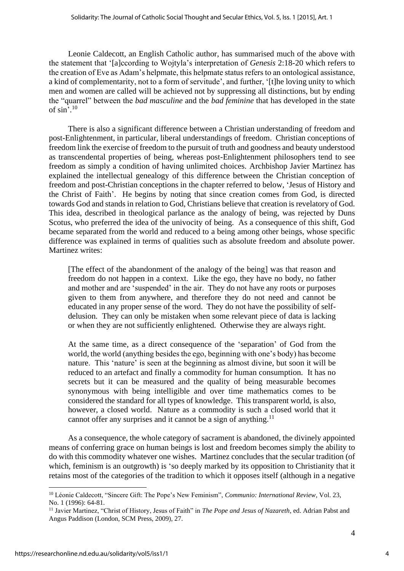Leonie Caldecott, an English Catholic author, has summarised much of the above with the statement that '[a]ccording to Wojtyla's interpretation of *Genesis* 2:18-20 which refers to the creation of Eve as Adam's helpmate, this helpmate status refers to an ontological assistance, a kind of complementarity, not to a form of servitude', and further, '[t]he loving unity to which men and women are called will be achieved not by suppressing all distinctions, but by ending the "quarrel" between the *bad masculine* and the *bad feminine* that has developed in the state of sin'. 10

There is also a significant difference between a Christian understanding of freedom and post-Enlightenment, in particular, liberal understandings of freedom. Christian conceptions of freedom link the exercise of freedom to the pursuit of truth and goodness and beauty understood as transcendental properties of being, whereas post-Enlightenment philosophers tend to see freedom as simply a condition of having unlimited choices. Archbishop Javier Martinez has explained the intellectual genealogy of this difference between the Christian conception of freedom and post-Christian conceptions in the chapter referred to below, 'Jesus of History and the Christ of Faith'. He begins by noting that since creation comes from God, is directed towards God and stands in relation to God, Christians believe that creation is revelatory of God. This idea, described in theological parlance as the analogy of being, was rejected by Duns Scotus, who preferred the idea of the univocity of being. As a consequence of this shift, God became separated from the world and reduced to a being among other beings, whose specific difference was explained in terms of qualities such as absolute freedom and absolute power. Martinez writes:

[The effect of the abandonment of the analogy of the being] was that reason and freedom do not happen in a context. Like the ego, they have no body, no father and mother and are 'suspended' in the air. They do not have any roots or purposes given to them from anywhere, and therefore they do not need and cannot be educated in any proper sense of the word. They do not have the possibility of selfdelusion. They can only be mistaken when some relevant piece of data is lacking or when they are not sufficiently enlightened. Otherwise they are always right.

At the same time, as a direct consequence of the 'separation' of God from the world, the world (anything besides the ego, beginning with one's body) has become nature. This 'nature' is seen at the beginning as almost divine, but soon it will be reduced to an artefact and finally a commodity for human consumption. It has no secrets but it can be measured and the quality of being measurable becomes synonymous with being intelligible and over time mathematics comes to be considered the standard for all types of knowledge. This transparent world, is also, however, a closed world. Nature as a commodity is such a closed world that it cannot offer any surprises and it cannot be a sign of anything.<sup>11</sup>

As a consequence, the whole category of sacrament is abandoned, the divinely appointed means of conferring grace on human beings is lost and freedom becomes simply the ability to do with this commodity whatever one wishes. Martinez concludes that the secular tradition (of which, feminism is an outgrowth) is 'so deeply marked by its opposition to Christianity that it retains most of the categories of the tradition to which it opposes itself (although in a negative

4

<sup>10</sup> Léonie Caldecott, "Sincere Gift: The Pope's New Feminism", *Communio: International Review*, Vol. 23, No. 1 (1996): 64-81.

<sup>11</sup> Javier Martinez, "Christ of History, Jesus of Faith" in *The Pope and Jesus of Nazareth*, ed. Adrian Pabst and Angus Paddison (London, SCM Press, 2009), 27.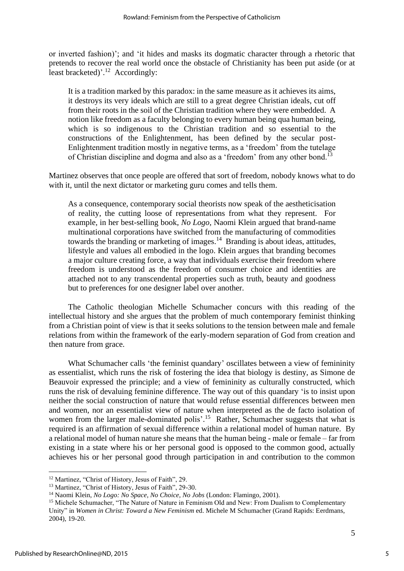or inverted fashion)'; and 'it hides and masks its dogmatic character through a rhetoric that pretends to recover the real world once the obstacle of Christianity has been put aside (or at least bracketed)'.<sup>12</sup> Accordingly:

It is a tradition marked by this paradox: in the same measure as it achieves its aims, it destroys its very ideals which are still to a great degree Christian ideals, cut off from their roots in the soil of the Christian tradition where they were embedded. A notion like freedom as a faculty belonging to every human being qua human being, which is so indigenous to the Christian tradition and so essential to the constructions of the Enlightenment, has been defined by the secular post-Enlightenment tradition mostly in negative terms, as a 'freedom' from the tutelage of Christian discipline and dogma and also as a 'freedom' from any other bond.<sup>13</sup>

Martinez observes that once people are offered that sort of freedom, nobody knows what to do with it, until the next dictator or marketing guru comes and tells them.

As a consequence, contemporary social theorists now speak of the aestheticisation of reality, the cutting loose of representations from what they represent. For example, in her best-selling book, *No Logo,* Naomi Klein argued that brand-name multinational corporations have switched from the manufacturing of commodities towards the branding or marketing of images.<sup>14</sup> Branding is about ideas, attitudes, lifestyle and values all embodied in the logo. Klein argues that branding becomes a major culture creating force, a way that individuals exercise their freedom where freedom is understood as the freedom of consumer choice and identities are attached not to any transcendental properties such as truth, beauty and goodness but to preferences for one designer label over another.

The Catholic theologian Michelle Schumacher concurs with this reading of the intellectual history and she argues that the problem of much contemporary feminist thinking from a Christian point of view is that it seeks solutions to the tension between male and female relations from within the framework of the early-modern separation of God from creation and then nature from grace.

What Schumacher calls 'the feminist quandary' oscillates between a view of femininity as essentialist, which runs the risk of fostering the idea that biology is destiny, as Simone de Beauvoir expressed the principle; and a view of femininity as culturally constructed, which runs the risk of devaluing feminine difference. The way out of this quandary 'is to insist upon neither the social construction of nature that would refuse essential differences between men and women, nor an essentialist view of nature when interpreted as the de facto isolation of women from the larger male-dominated polis'.<sup>15</sup> Rather, Schumacher suggests that what is required is an affirmation of sexual difference within a relational model of human nature. By a relational model of human nature she means that the human being - male or female – far from existing in a state where his or her personal good is opposed to the common good, actually achieves his or her personal good through participation in and contribution to the common

<sup>12</sup> Martinez, "Christ of History, Jesus of Faith", 29.

<sup>&</sup>lt;sup>13</sup> Martinez, "Christ of History, Jesus of Faith", 29-30.

<sup>14</sup> Naomi Klein, *No Logo: No Space, No Choice, No Jobs* (London: Flamingo, 2001).

<sup>&</sup>lt;sup>15</sup> Michele Schumacher, "The Nature of Nature in Feminism Old and New: From Dualism to Complementary Unity" in *Women in Christ: Toward a New Feminism* ed. Michele M Schumacher (Grand Rapids: Eerdmans, 2004), 19-20.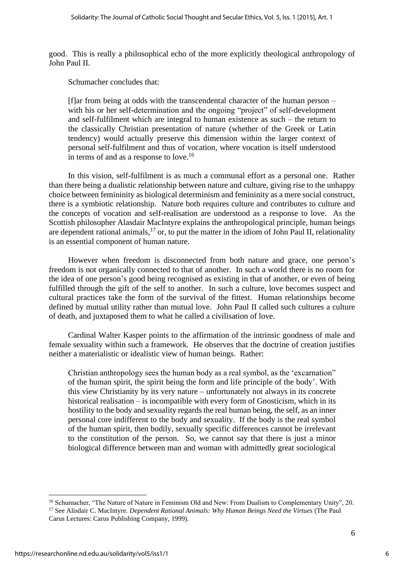good. This is really a philosophical echo of the more explicitly theological anthropology of John Paul II.

Schumacher concludes that:

[f]ar from being at odds with the transcendental character of the human person  $$ with his or her self-determination and the ongoing "project" of self-development and self-fulfilment which are integral to human existence as such – the return to the classically Christian presentation of nature (whether of the Greek or Latin tendency) would actually preserve this dimension within the larger context of personal self-fulfilment and thus of vocation, where vocation is itself understood in terms of and as a response to love.<sup>16</sup>

In this vision, self-fulfilment is as much a communal effort as a personal one. Rather than there being a dualistic relationship between nature and culture, giving rise to the unhappy choice between femininity as biological determinism and femininity as a mere social construct, there is a symbiotic relationship. Nature both requires culture and contributes to culture and the concepts of vocation and self-realisation are understood as a response to love. As the Scottish philosopher Alasdair MacIntyre explains the anthropological principle, human beings are dependent rational animals,<sup>17</sup> or, to put the matter in the idiom of John Paul II, relationality is an essential component of human nature.

However when freedom is disconnected from both nature and grace, one person's freedom is not organically connected to that of another. In such a world there is no room for the idea of one person's good being recognised as existing in that of another, or even of being fulfilled through the gift of the self to another. In such a culture, love becomes suspect and cultural practices take the form of the survival of the fittest. Human relationships become defined by mutual utility rather than mutual love. John Paul II called such cultures a culture of death, and juxtaposed them to what he called a civilisation of love.

Cardinal Walter Kasper points to the affirmation of the intrinsic goodness of male and female sexuality within such a framework. He observes that the doctrine of creation justifies neither a materialistic or idealistic view of human beings. Rather:

Christian anthropology sees the human body as a real symbol, as the 'excarnation" of the human spirit, the spirit being the form and life principle of the body'. With this view Christianity by its very nature – unfortunately not always in its concrete historical realisation – is incompatible with every form of Gnosticism, which in its hostility to the body and sexuality regards the real human being, the self, as an inner personal core indifferent to the body and sexuality. If the body is the real symbol of the human spirit, then bodily, sexually specific differences cannot be irrelevant to the constitution of the person. So, we cannot say that there is just a minor biological difference between man and woman with admittedly great sociological

<sup>&</sup>lt;sup>16</sup> Schumacher, "The Nature of Nature in Feminism Old and New: From Dualism to Complementary Unity". 20. <sup>17</sup> See Alisdair C. MacIntyre. *Dependent Rational Animals: Why Human Beings Need the Virtues* (The Paul

Carus Lectures: Carus Publishing Company, 1999).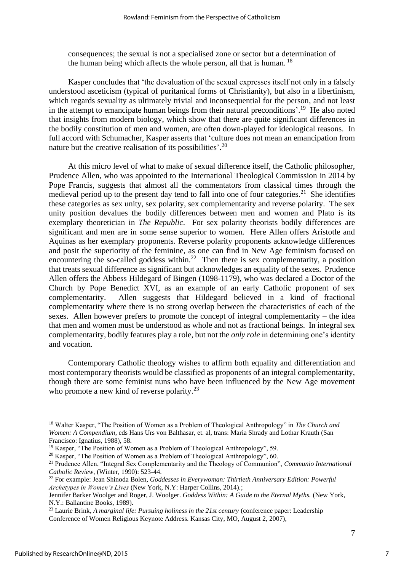consequences; the sexual is not a specialised zone or sector but a determination of the human being which affects the whole person, all that is human. <sup>18</sup>

Kasper concludes that 'the devaluation of the sexual expresses itself not only in a falsely understood asceticism (typical of puritanical forms of Christianity), but also in a libertinism, which regards sexuality as ultimately trivial and inconsequential for the person, and not least in the attempt to emancipate human beings from their natural preconditions'.<sup>19</sup> He also noted that insights from modern biology, which show that there are quite significant differences in the bodily constitution of men and women, are often down-played for ideological reasons. In full accord with Schumacher, Kasper asserts that 'culture does not mean an emancipation from nature but the creative realisation of its possibilities'.<sup>20</sup>

At this micro level of what to make of sexual difference itself, the Catholic philosopher, Prudence Allen, who was appointed to the International Theological Commission in 2014 by Pope Francis, suggests that almost all the commentators from classical times through the medieval period up to the present day tend to fall into one of four categories.<sup>21</sup> She identifies these categories as sex unity, sex polarity, sex complementarity and reverse polarity. The sex unity position devalues the bodily differences between men and women and Plato is its exemplary theoretician in *The Republic*. For sex polarity theorists bodily differences are significant and men are in some sense superior to women. Here Allen offers Aristotle and Aquinas as her exemplary proponents. Reverse polarity proponents acknowledge differences and posit the superiority of the feminine, as one can find in New Age feminism focused on encountering the so-called goddess within.<sup>22</sup> Then there is sex complementarity, a position that treats sexual difference as significant but acknowledges an equality of the sexes. Prudence Allen offers the Abbess Hildegard of Bingen (1098-1179), who was declared a Doctor of the Church by Pope Benedict XVI, as an example of an early Catholic proponent of sex complementarity. Allen suggests that Hildegard believed in a kind of fractional complementarity where there is no strong overlap between the characteristics of each of the sexes. Allen however prefers to promote the concept of integral complementarity – the idea that men and women must be understood as whole and not as fractional beings. In integral sex complementarity, bodily features play a role, but not the *only role* in determining one's identity and vocation.

Contemporary Catholic theology wishes to affirm both equality and differentiation and most contemporary theorists would be classified as proponents of an integral complementarity, though there are some feminist nuns who have been influenced by the New Age movement who promote a new kind of reverse polarity.<sup>23</sup>

<sup>18</sup> Walter Kasper, "The Position of Women as a Problem of Theological Anthropology" in *The Church and Women: A Compendium*, eds Hans Urs von Balthasar, et. al, trans: Maria Shrady and Lothar Krauth (San Francisco: Ignatius, 1988), 58.

<sup>&</sup>lt;sup>19</sup> Kasper, "The Position of Women as a Problem of Theological Anthropology", 59.

<sup>&</sup>lt;sup>20</sup> Kasper, "The Position of Women as a Problem of Theological Anthropology", 60.

<sup>21</sup> Prudence Allen, "Integral Sex Complementarity and the Theology of Communion", *Communio International Catholic Review,* (Winter, 1990): 523-44.

<sup>22</sup> For example: Jean Shinoda Bolen, *Goddesses in Everywoman: Thirtieth Anniversary Edition: Powerful Archetypes in Women's Lives* (New York, N.Y: Harper Collins, 2014).;

Jennifer Barker Woolger and Roger, J. Woolger. *Goddess Within: A Guide to the Eternal Myths.* (New York, N.Y.: Ballantine Books, 1989).

<sup>&</sup>lt;sup>23</sup> Laurie Brink, *[A marginal life: Pursuing holiness in the 21st century](https://lcwr.org/sites/default/files/calendar/attachments/2007_Keynote_Address-Laurie_Brink-OP.pdf)* (conference paper: Leadership Conference of Women Religious Keynote Address. Kansas City, MO, August 2, 2007),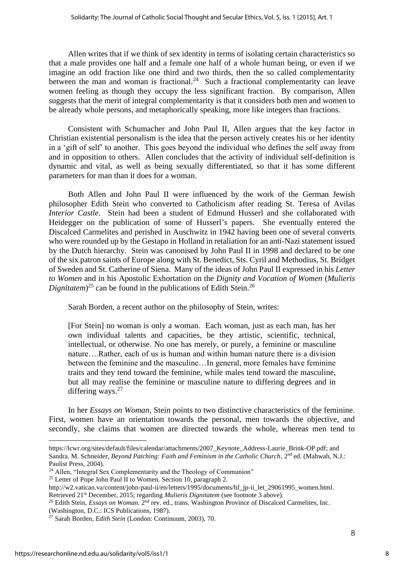Allen writes that if we think of sex identity in terms of isolating certain characteristics so that a male provides one half and a female one half of a whole human being, or even if we imagine an odd fraction like one third and two thirds, then the so called complementarity between the man and woman is fractional.<sup>24</sup> Such a fractional complementarity can leave women feeling as though they occupy the less significant fraction. By comparison, Allen suggests that the merit of integral complementarity is that it considers both men and women to be already whole persons, and metaphorically speaking, more like integers than fractions.

Consistent with Schumacher and John Paul II, Allen argues that the key factor in Christian existential personalism is the idea that the person actively creates his or her identity in a 'gift of self' to another. This goes beyond the individual who defines the self away from and in opposition to others. Allen concludes that the activity of individual self-definition is dynamic and vital, as well as being sexually differentiated, so that it has some different parameters for man than it does for a woman.

Both Allen and John Paul II were influenced by the work of the German Jewish philosopher Edith Stein who converted to Catholicism after reading St. Teresa of Avilas *Interior Castle.* Stein had been a student of Edmund Husserl and she collaborated with Heidegger on the publication of some of Husserl's papers. She eventually entered the Discalced Carmelites and perished in Auschwitz in 1942 having been one of several converts who were rounded up by the Gestapo in Holland in retaliation for an anti-Nazi statement issued by the Dutch hierarchy. Stein was canonised by John Paul II in 1998 and declared to be one of the six patron saints of Europe along with St. Benedict, Sts. Cyril and Methodius, St. Bridget of Sweden and St. Catherine of Siena. Many of the ideas of John Paul II expressed in his *Letter to Women* and in his Apostolic Exhortation on the *Dignity and Vocation of Women* (*Mulieris Dignitatem*<sup>25</sup> can be found in the publications of Edith Stein.<sup>26</sup>

Sarah Borden, a recent author on the philosophy of Stein, writes:

[For Stein] no woman is only a woman. Each woman, just as each man, has her own individual talents and capacities, be they artistic, scientific, technical, intellectual, or otherwise. No one has merely, or purely, a feminine or masculine nature….Rather, each of us is human and within human nature there is a division between the feminine and the masculine…In general, more females have feminine traits and they tend toward the feminine, while males tend toward the masculine, but all may realise the feminine or masculine nature to differing degrees and in differing ways. $27$ 

In her *Essays on Woman,* Stein points to two distinctive characteristics of the feminine. First, women have an orientation towards the personal, men towards the objective, and secondly, she claims that women are directed towards the whole, whereas men tend to

[https://lcwr.org/sites/default/files/calendar/attachments/2007\\_Keynote\\_Address-Laurie\\_Brink-OP.pdf;](https://lcwr.org/sites/default/files/calendar/attachments/2007_Keynote_Address-Laurie_Brink-OP.pdf) and Sandra. M. Schneider, *Beyond Patching: Faith and Feminism in the Catholic Church*, 2nd ed. (Mahwah, N.J.: Paulist Press, 2004).

 $24$  Allen, "Integral Sex Complementarity and the Theology of Communion"

<sup>&</sup>lt;sup>25</sup> Letter of Pope John Paul II to Women. Section 10, paragraph 2.

[http://w2.vatican.va/content/john-paul-ii/en/letters/1995/documents/hf\\_jp-ii\\_let\\_29061995\\_women.html.](http://w2.vatican.va/content/john-paul-ii/en/letters/1995/documents/hf_jp-ii_let_29061995_women.html) Retrieved 21st December, 2015; regarding *Mulieris Dignitatem* (see footnote 3 above).

<sup>&</sup>lt;sup>26</sup> Edith Stein, *Essays on Woman*. 2<sup>nd</sup> rev. ed., trans. Washington Province of Discalced Carmelites, Inc. (Washington, D.C.: ICS Publications, 1987).

<sup>27</sup> Sarah Borden, *Edith Stein* (London: Continuum, 2003), 70.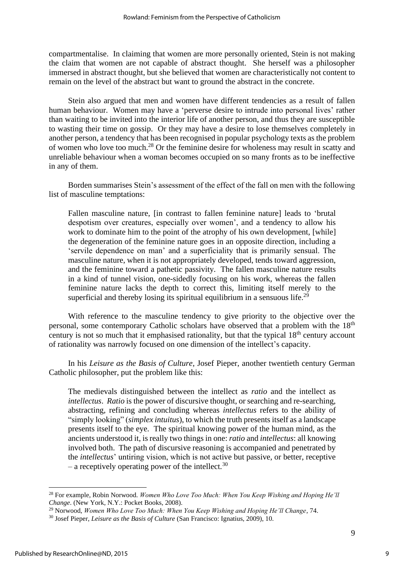compartmentalise. In claiming that women are more personally oriented, Stein is not making the claim that women are not capable of abstract thought. She herself was a philosopher immersed in abstract thought, but she believed that women are characteristically not content to remain on the level of the abstract but want to ground the abstract in the concrete.

Stein also argued that men and women have different tendencies as a result of fallen human behaviour. Women may have a 'perverse desire to intrude into personal lives' rather than waiting to be invited into the interior life of another person, and thus they are susceptible to wasting their time on gossip. Or they may have a desire to lose themselves completely in another person, a tendency that has been recognised in popular psychology texts as the problem of women who love too much.<sup>28</sup> Or the feminine desire for wholeness may result in scatty and unreliable behaviour when a woman becomes occupied on so many fronts as to be ineffective in any of them.

Borden summarises Stein's assessment of the effect of the fall on men with the following list of masculine temptations:

Fallen masculine nature, [in contrast to fallen feminine nature] leads to 'brutal despotism over creatures, especially over women', and a tendency to allow his work to dominate him to the point of the atrophy of his own development, [while] the degeneration of the feminine nature goes in an opposite direction, including a 'servile dependence on man' and a superficiality that is primarily sensual. The masculine nature, when it is not appropriately developed, tends toward aggression, and the feminine toward a pathetic passivity. The fallen masculine nature results in a kind of tunnel vision, one-sidedly focusing on his work, whereas the fallen feminine nature lacks the depth to correct this, limiting itself merely to the superficial and thereby losing its spiritual equilibrium in a sensuous life.<sup>29</sup>

With reference to the masculine tendency to give priority to the objective over the personal, some contemporary Catholic scholars have observed that a problem with the 18<sup>th</sup> century is not so much that it emphasised rationality, but that the typical  $18<sup>th</sup>$  century account of rationality was narrowly focused on one dimension of the intellect's capacity.

In his *Leisure as the Basis of Culture*, Josef Pieper, another twentieth century German Catholic philosopher, put the problem like this:

The medievals distinguished between the intellect as *ratio* and the intellect as *intellectus. Ratio* is the power of discursive thought, or searching and re-searching, abstracting, refining and concluding whereas *intellectus* refers to the ability of "simply looking" (*simplex intuitus*), to which the truth presents itself as a landscape presents itself to the eye. The spiritual knowing power of the human mind, as the ancients understood it, is really two things in one: *ratio* and *intellectus*: all knowing involved both. The path of discursive reasoning is accompanied and penetrated by the *intellectus*' untiring vision, which is not active but passive, or better, receptive – a receptively operating power of the intellect.<sup>30</sup>

9

<sup>28</sup> For example, Robin Norwood. *Women Who Love Too Much: When You Keep Wishing and Hoping He'll Change*. (New York, N.Y.: Pocket Books, 2008).

<sup>29</sup> Norwood, *Women Who Love Too Much: When You Keep Wishing and Hoping He'll Change*, 74.

<sup>30</sup> Josef Pieper, *Leisure as the Basis of Culture* (San Francisco: Ignatius, 2009), 10.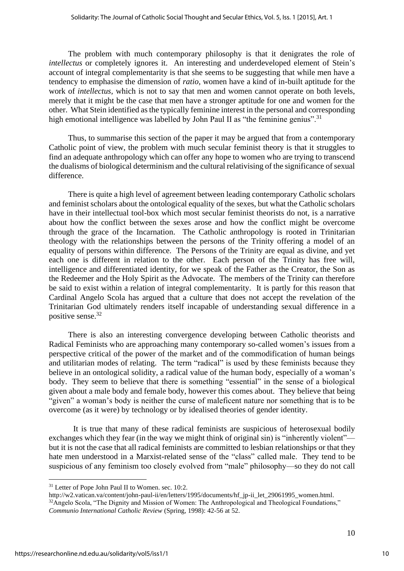The problem with much contemporary philosophy is that it denigrates the role of *intellectus* or completely ignores it. An interesting and underdeveloped element of Stein's account of integral complementarity is that she seems to be suggesting that while men have a tendency to emphasise the dimension of *ratio*, women have a kind of in-built aptitude for the work of *intellectus,* which is not to say that men and women cannot operate on both levels, merely that it might be the case that men have a stronger aptitude for one and women for the other. What Stein identified as the typically feminine interest in the personal and corresponding high emotional intelligence was labelled by John Paul II as "the feminine genius".<sup>31</sup>

Thus, to summarise this section of the paper it may be argued that from a contemporary Catholic point of view, the problem with much secular feminist theory is that it struggles to find an adequate anthropology which can offer any hope to women who are trying to transcend the dualisms of biological determinism and the cultural relativising of the significance of sexual difference.

There is quite a high level of agreement between leading contemporary Catholic scholars and feminist scholars about the ontological equality of the sexes, but what the Catholic scholars have in their intellectual tool-box which most secular feminist theorists do not, is a narrative about how the conflict between the sexes arose and how the conflict might be overcome through the grace of the Incarnation. The Catholic anthropology is rooted in Trinitarian theology with the relationships between the persons of the Trinity offering a model of an equality of persons within difference. The Persons of the Trinity are equal as divine, and yet each one is different in relation to the other. Each person of the Trinity has free will, intelligence and differentiated identity, for we speak of the Father as the Creator, the Son as the Redeemer and the Holy Spirit as the Advocate. The members of the Trinity can therefore be said to exist within a relation of integral complementarity. It is partly for this reason that Cardinal Angelo Scola has argued that a culture that does not accept the revelation of the Trinitarian God ultimately renders itself incapable of understanding sexual difference in a positive sense.<sup>32</sup>

There is also an interesting convergence developing between Catholic theorists and Radical Feminists who are approaching many contemporary so-called women's issues from a perspective critical of the power of the market and of the commodification of human beings and utilitarian modes of relating. The term "radical" is used by these feminists because they believe in an ontological solidity, a radical value of the human body, especially of a woman's body. They seem to believe that there is something "essential" in the sense of a biological given about a male body and female body, however this comes about. They believe that being "given" a woman's body is neither the curse of maleficent nature nor something that is to be overcome (as it were) by technology or by idealised theories of gender identity.

It is true that many of these radical feminists are suspicious of heterosexual bodily exchanges which they fear (in the way we might think of original sin) is "inherently violent" but it is not the case that all radical feminists are committed to lesbian relationships or that they hate men understood in a Marxist-related sense of the "class" called male. They tend to be suspicious of any feminism too closely evolved from "male" philosophy—so they do not call

http://w2.vatican.va/content/john-paul-ii/en/letters/1995/documents/hf\_ip-ii\_let\_29061995\_women.html.

<sup>&</sup>lt;sup>31</sup> Letter of Pope John Paul II to Women, sec. 10:2.

<sup>&</sup>lt;sup>32</sup>Angelo Scola, "The Dignity and Mission of Women: The Anthropological and Theological Foundations," *Communio International Catholic Review* (Spring, 1998): 42-56 at 52.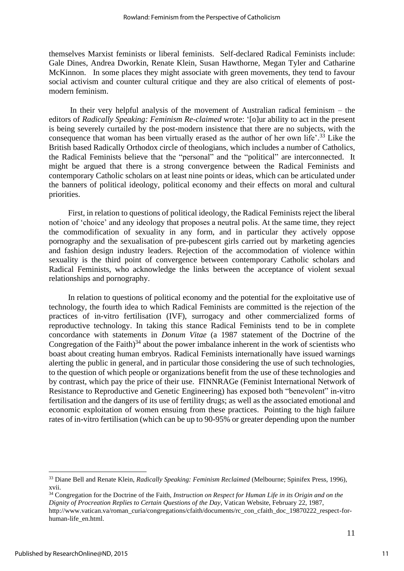themselves Marxist feminists or liberal feminists. Self-declared Radical Feminists include: Gale Dines, Andrea Dworkin, Renate Klein, Susan Hawthorne, Megan Tyler and Catharine McKinnon. In some places they might associate with green movements, they tend to favour social activism and counter cultural critique and they are also critical of elements of postmodern feminism.

In their very helpful analysis of the movement of Australian radical feminism – the editors of *Radically Speaking: Feminism Re-claimed* wrote: '[o]ur ability to act in the present is being severely curtailed by the post-modern insistence that there are no subjects, with the consequence that woman has been virtually erased as the author of her own life'.<sup>33</sup> Like the British based Radically Orthodox circle of theologians, which includes a number of Catholics, the Radical Feminists believe that the "personal" and the "political" are interconnected. It might be argued that there is a strong convergence between the Radical Feminists and contemporary Catholic scholars on at least nine points or ideas, which can be articulated under the banners of political ideology, political economy and their effects on moral and cultural priorities.

First, in relation to questions of political ideology, the Radical Feminists reject the liberal notion of 'choice' and any ideology that proposes a neutral polis. At the same time, they reject the commodification of sexuality in any form, and in particular they actively oppose pornography and the sexualisation of pre-pubescent girls carried out by marketing agencies and fashion design industry leaders. Rejection of the accommodation of violence within sexuality is the third point of convergence between contemporary Catholic scholars and Radical Feminists, who acknowledge the links between the acceptance of violent sexual relationships and pornography.

In relation to questions of political economy and the potential for the exploitative use of technology, the fourth idea to which Radical Feminists are committed is the rejection of the practices of in-vitro fertilisation (IVF), surrogacy and other commercialized forms of reproductive technology. In taking this stance Radical Feminists tend to be in complete concordance with statements in *Donum Vitae* (a 1987 statement of the Doctrine of the Congregation of the Faith) $34$  about the power imbalance inherent in the work of scientists who boast about creating human embryos. Radical Feminists internationally have issued warnings alerting the public in general, and in particular those considering the use of such technologies, to the question of which people or organizations benefit from the use of these technologies and by contrast, which pay the price of their use. FINNRAGe (Feminist International Network of Resistance to Reproductive and Genetic Engineering) has exposed both "benevolent" in-vitro fertilisation and the dangers of its use of fertility drugs; as well as the associated emotional and economic exploitation of women ensuing from these practices. Pointing to the high failure rates of in-vitro fertilisation (which can be up to 90-95% or greater depending upon the number

<sup>33</sup> Diane Bell and Renate Klein, *Radically Speaking: Feminism Reclaimed* (Melbourne; Spinifex Press, 1996), xvii.

<sup>&</sup>lt;sup>34</sup> Congregation for the Doctrine of the Faith, *Instruction on Respect for Human Life in its Origin and on the Dignity of Procreation Replies to Certain Questions of the Day*, Vatican Website, February 22, 1987, http://www.vatican.va/roman\_curia/congregations/cfaith/documents/rc\_con\_cfaith\_doc\_19870222\_respect-forhuman-life\_en.html.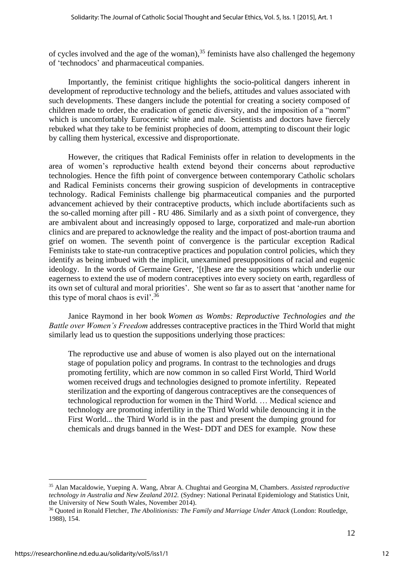of cycles involved and the age of the woman), <sup>35</sup> feminists have also challenged the hegemony of 'technodocs' and pharmaceutical companies.

Importantly, the feminist critique highlights the socio-political dangers inherent in development of reproductive technology and the beliefs, attitudes and values associated with such developments. These dangers include the potential for creating a society composed of children made to order, the eradication of genetic diversity, and the imposition of a "norm" which is uncomfortably Eurocentric white and male. Scientists and doctors have fiercely rebuked what they take to be feminist prophecies of doom, attempting to discount their logic by calling them hysterical, excessive and disproportionate.

However, the critiques that Radical Feminists offer in relation to developments in the area of women's reproductive health extend beyond their concerns about reproductive technologies. Hence the fifth point of convergence between contemporary Catholic scholars and Radical Feminists concerns their growing suspicion of developments in contraceptive technology. Radical Feminists challenge big pharmaceutical companies and the purported advancement achieved by their contraceptive products, which include abortifacients such as the so-called morning after pill - RU 486. Similarly and as a sixth point of convergence, they are ambivalent about and increasingly opposed to large, corporatized and male-run abortion clinics and are prepared to acknowledge the reality and the impact of post-abortion trauma and grief on women. The seventh point of convergence is the particular exception Radical Feminists take to state-run contraceptive practices and population control policies, which they identify as being imbued with the implicit, unexamined presuppositions of racial and eugenic ideology. In the words of Germaine Greer, '[t]hese are the suppositions which underlie our eagerness to extend the use of modern contraceptives into every society on earth, regardless of its own set of cultural and moral priorities'. She went so far as to assert that 'another name for this type of moral chaos is evil'.<sup>36</sup>

Janice Raymond in her book *Women as Wombs: Reproductive Technologies and the Battle over Women's Freedom* addresses contraceptive practices in the Third World that might similarly lead us to question the suppositions underlying those practices:

The reproductive use and abuse of women is also played out on the international stage of population policy and programs. In contrast to the technologies and drugs promoting fertility, which are now common in so called First World, Third World women received drugs and technologies designed to promote infertility. Repeated sterilization and the exporting of dangerous contraceptives are the consequences of technological reproduction for women in the Third World. … Medical science and technology are promoting infertility in the Third World while denouncing it in the First World... the Third World is in the past and present the dumping ground for chemicals and drugs banned in the West- DDT and DES for example. Now these

<sup>35</sup> Alan Macaldowie, Yueping A. Wang, Abrar A. Chughtai and Georgina M, Chambers. *Assisted reproductive technology in Australia and New Zealand 2012.* (Sydney: National Perinatal Epidemiology and Statistics Unit, the University of New South Wales, November 2014).

<sup>36</sup> Quoted in Ronald Fletcher, *The Abolitionists: The Family and Marriage Under Attack* (London: Routledge, 1988), 154.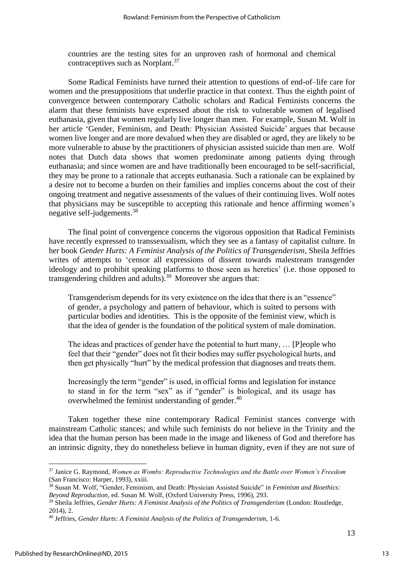countries are the testing sites for an unproven rash of hormonal and chemical contraceptives such as Norplant.<sup>37</sup>

Some Radical Feminists have turned their attention to questions of end-of–life care for women and the presuppositions that underlie practice in that context. Thus the eighth point of convergence between contemporary Catholic scholars and Radical Feminists concerns the alarm that these feminists have expressed about the risk to vulnerable women of legalised euthanasia, given that women regularly live longer than men. For example, Susan M. Wolf in her article 'Gender, Feminism, and Death: Physician Assisted Suicide' argues that because women live longer and are more devalued when they are disabled or aged, they are likely to be more vulnerable to abuse by the practitioners of physician assisted suicide than men are. Wolf notes that Dutch data shows that women predominate among patients dying through euthanasia; and since women are and have traditionally been encouraged to be self-sacrificial, they may be prone to a rationale that accepts euthanasia. Such a rationale can be explained by a desire not to become a burden on their families and implies concerns about the cost of their ongoing treatment and negative assessments of the values of their continuing lives. Wolf notes that physicians may be susceptible to accepting this rationale and hence affirming women's negative self-judgements. 38

The final point of convergence concerns the vigorous opposition that Radical Feminists have recently expressed to transsexualism, which they see as a fantasy of capitalist culture. In her book *Gender Hurts: A Feminist Analysis of the Politics of Transgenderism,* Sheila Jeffries writes of attempts to 'censor all expressions of dissent towards malestream transgender ideology and to prohibit speaking platforms to those seen as heretics' (i.e. those opposed to transgendering children and adults).<sup>39</sup> Moreover she argues that:

Transgenderism depends for its very existence on the idea that there is an "essence" of gender, a psychology and pattern of behaviour, which is suited to persons with particular bodies and identities. This is the opposite of the feminist view, which is that the idea of gender is the foundation of the political system of male domination.

The ideas and practices of gender have the potential to hurt many, … [P]eople who feel that their "gender" does not fit their bodies may suffer psychological hurts, and then get physically "hurt" by the medical profession that diagnoses and treats them.

Increasingly the term "gender" is used, in official forms and legislation for instance to stand in for the term "sex" as if "gender" is biological, and its usage has overwhelmed the feminist understanding of gender.<sup>40</sup>

Taken together these nine contemporary Radical Feminist stances converge with mainstream Catholic stances; and while such feminists do not believe in the Trinity and the idea that the human person has been made in the image and likeness of God and therefore has an intrinsic dignity, they do nonetheless believe in human dignity, even if they are not sure of

<sup>37</sup> Janice G. Raymond, *Women as Wombs: Reproductive Technologies and the Battle over Women's Freedom*  (San Francisco: Harper, 1993), xxiii.

<sup>38</sup> Susan M. Wolf, "Gender, Feminism, and Death: Physician Assisted Suicide" in *Feminism and Bioethics: Beyond Reproduction*, ed. Susan M. Wolf, (Oxford University Press, 1996), 293.

<sup>39</sup> Sheila Jeffries, *Gender Hurts: A Feminist Analysis of the Politics of Transgenderism* (London: Routledge, 2014), 2.

<sup>40</sup> Jeffries, *Gender Hurts: A Feminist Analysis of the Politics of Transgenderism*, 1-6.